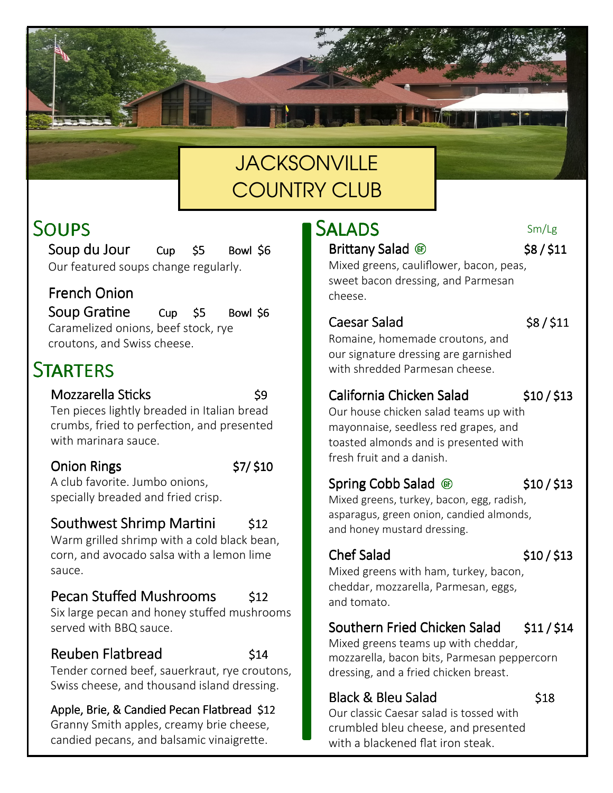# **JACKSONVILLE** COUNTRY CLUB

# SOUPS

Soup du Jour Cup \$5 Bowl \$6 Our featured soups change regularly.

### French Onion

Soup Gra  $C$ up  $$5$  Bowl  $$6$ Caramelized onions, beef stock, rye croutons, and Swiss cheese.

# STARTERS

### Mozzarella Sticks 59

Ten pieces lightly breaded in Italian bread crumbs, fried to perfection, and presented with marinara sauce.

### $\frac{1}{2}$ Onion Rings  $\frac{1}{2}$  \$7/ \$10

A club favorite. Jumbo onions, specially breaded and fried crisp.

### Southwest Shrimp Mar  $$12$

Warm grilled shrimp with a cold black bean, corn, and avocado salsa with a lemon lime sauce.

### Pecan Stuffed Mushrooms \$12

Six large pecan and honey stuffed mushrooms served with BBQ sauce.

### Reuben Flatbread 514

Tender corned beef, sauerkraut, rye croutons, Swiss cheese, and thousand island dressing.

Apple, Brie, & Candied Pecan Flatbread \$12 Granny Smith apples, creamy brie cheese, candied pecans, and balsamic vinaigrette.

## **SALADS**

### Brittany Salad  $\circledast$  \$8/\$11

Sm/Lg

Mixed greens, cauliflower, bacon, peas, sweet bacon dressing, and Parmesan cheese.

### Caesar Salad \$8/\$11

Romaine, homemade croutons, and our signature dressing are garnished with shredded Parmesan cheese.

### California Chicken Salad \$10/\$13

Our house chicken salad teams up with mayonnaise, seedless red grapes, and toasted almonds and is presented with fresh fruit and a danish.

### Spring Cobb Salad  $\circledast$  \$10/\$13

Mixed greens, turkey, bacon, egg, radish, asparagus, green onion, candied almonds, and honey mustard dressing.

### Chef Salad \$10 / \$13

Mixed greens with ham, turkey, bacon, cheddar, mozzarella, Parmesan, eggs, and tomato.

### Southern Fried Chicken Salad \$11/\$14

Mixed greens teams up with cheddar, mozzarella, bacon bits, Parmesan peppercorn dressing, and a fried chicken breast.

### Black & Bleu Salad 518

Our classic Caesar salad is tossed with crumbled bleu cheese, and presented with a blackened flat iron steak.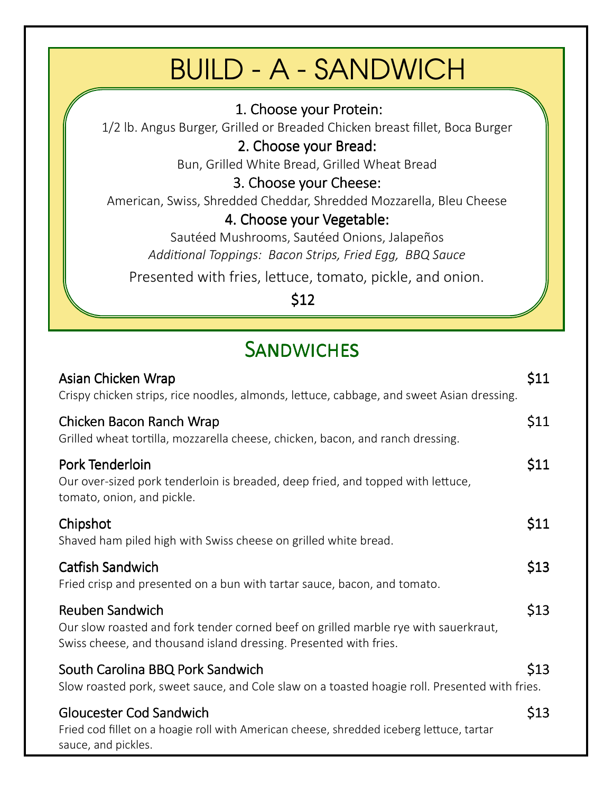# BUILD - A - SANDWICH

### 1. Choose your Protein:

1/2 lb. Angus Burger, Grilled or Breaded Chicken breast fillet, Boca Burger

### 2. Choose your Bread:

Bun, Grilled White Bread, Grilled Wheat Bread

### 3. Choose your Cheese:

American, Swiss, Shredded Cheddar, Shredded Mozzarella, Bleu Cheese

### 4. Choose your Vegetable:

Sautéed Mushrooms, Sautéed Onions, Jalapeños *Addional Toppings: Bacon Strips, Fried Egg, BBQ Sauce*

Presented with fries, lettuce, tomato, pickle, and onion.

\$12

# SANDWICHES

| Asian Chicken Wrap<br>Crispy chicken strips, rice noodles, almonds, lettuce, cabbage, and sweet Asian dressing.                                                                    | \$11 |
|------------------------------------------------------------------------------------------------------------------------------------------------------------------------------------|------|
| Chicken Bacon Ranch Wrap<br>Grilled wheat tortilla, mozzarella cheese, chicken, bacon, and ranch dressing.                                                                         | \$11 |
| Pork Tenderloin<br>Our over-sized pork tenderloin is breaded, deep fried, and topped with lettuce,<br>tomato, onion, and pickle.                                                   | \$11 |
| Chipshot<br>Shaved ham piled high with Swiss cheese on grilled white bread.                                                                                                        | \$11 |
| <b>Catfish Sandwich</b><br>Fried crisp and presented on a bun with tartar sauce, bacon, and tomato.                                                                                | \$13 |
| <b>Reuben Sandwich</b><br>Our slow roasted and fork tender corned beef on grilled marble rye with sauerkraut,<br>Swiss cheese, and thousand island dressing. Presented with fries. | \$13 |
| South Carolina BBQ Pork Sandwich<br>Slow roasted pork, sweet sauce, and Cole slaw on a toasted hoagie roll. Presented with fries.                                                  | \$13 |
| <b>Gloucester Cod Sandwich</b><br>Fried cod fillet on a hoagie roll with American cheese, shredded iceberg lettuce, tartar<br>sauce, and pickles.                                  | \$13 |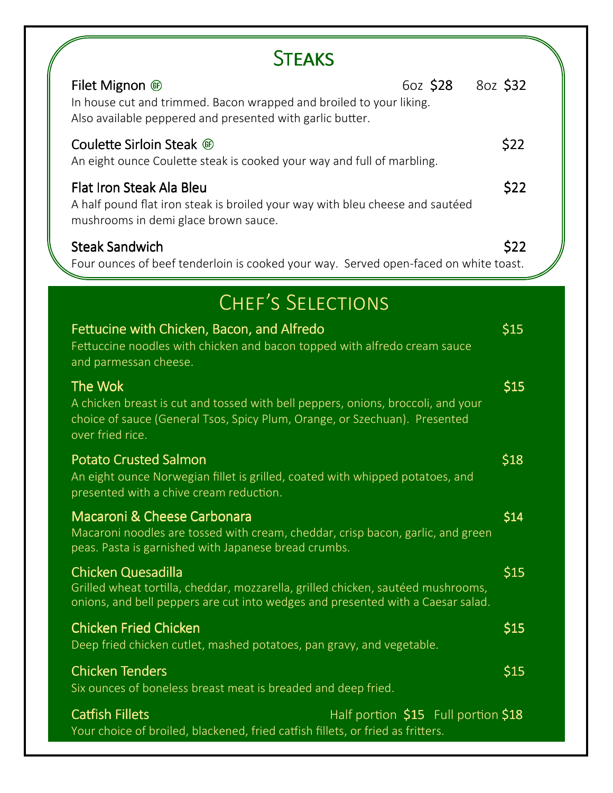| <b>STEAKS</b>                                                                                                                                                                                 |          |
|-----------------------------------------------------------------------------------------------------------------------------------------------------------------------------------------------|----------|
| 60Z \$28<br>Filet Mignon <sup>®</sup><br>In house cut and trimmed. Bacon wrapped and broiled to your liking.<br>Also available peppered and presented with garlic butter.                     | 80Z \$32 |
| Coulette Sirloin Steak ®<br>An eight ounce Coulette steak is cooked your way and full of marbling.                                                                                            | \$22     |
| Flat Iron Steak Ala Bleu<br>A half pound flat iron steak is broiled your way with bleu cheese and sautéed<br>mushrooms in demi glace brown sauce.                                             | \$22     |
| <b>Steak Sandwich</b><br>Four ounces of beef tenderloin is cooked your way. Served open-faced on white toast.                                                                                 | \$22     |
| CHEF'S SELECTIONS                                                                                                                                                                             |          |
| Fettucine with Chicken, Bacon, and Alfredo<br>Fettuccine noodles with chicken and bacon topped with alfredo cream sauce<br>and parmessan cheese.                                              | \$15     |
| The Wok<br>A chicken breast is cut and tossed with bell peppers, onions, broccoli, and your<br>choice of sauce (General Tsos, Spicy Plum, Orange, or Szechuan). Presented<br>over fried rice. | \$15     |
| <b>Potato Crusted Salmon</b><br>An eight ounce Norwegian fillet is grilled, coated with whipped potatoes, and<br>presented with a chive cream reduction.                                      | \$18     |
| Macaroni & Cheese Carbonara<br>Macaroni noodles are tossed with cream, cheddar, crisp bacon, garlic, and green<br>peas. Pasta is garnished with Japanese bread crumbs.                        | \$14     |
| Chicken Quesadilla<br>Grilled wheat tortilla, cheddar, mozzarella, grilled chicken, sautéed mushrooms,<br>onions, and bell peppers are cut into wedges and presented with a Caesar salad.     | \$15     |
| <b>Chicken Fried Chicken</b><br>Deep fried chicken cutlet, mashed potatoes, pan gravy, and vegetable.                                                                                         | \$15     |
| <b>Chicken Tenders</b><br>Six ounces of boneless breast meat is breaded and deep fried.                                                                                                       | \$15     |
| Catfish Fillets<br>Half portion \$15 Full portion \$18<br>Your choice of broiled, blackened, fried catfish fillets, or fried as fritters.                                                     |          |